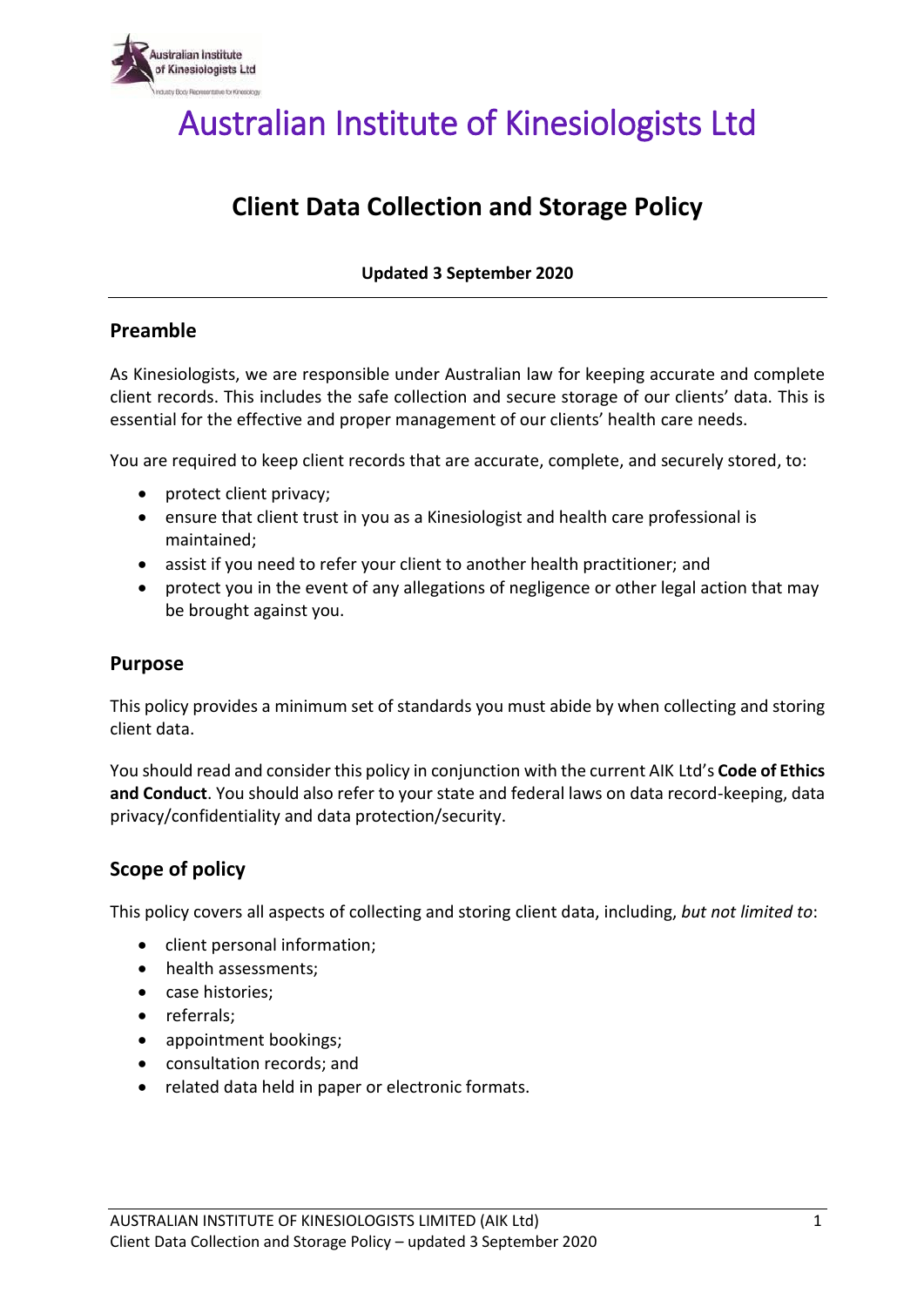

Australian Institute of Kinesiologists Ltd

# **Client Data Collection and Storage Policy**

**Updated 3 September 2020**

## **Preamble**

As Kinesiologists, we are responsible under Australian law for keeping accurate and complete client records. This includes the safe collection and secure storage of our clients' data. This is essential for the effective and proper management of our clients' health care needs.

You are required to keep client records that are accurate, complete, and securely stored, to:

- protect client privacy;
- ensure that client trust in you as a Kinesiologist and health care professional is maintained;
- assist if you need to refer your client to another health practitioner; and
- protect you in the event of any allegations of negligence or other legal action that may be brought against you.

## **Purpose**

This policy provides a minimum set of standards you must abide by when collecting and storing client data.

You should read and consider this policy in conjunction with the current AIK Ltd's **Code of Ethics and Conduct**. You should also refer to your state and federal laws on data record-keeping, data privacy/confidentiality and data protection/security.

# **Scope of policy**

This policy covers all aspects of collecting and storing client data, including, *but not limited to*:

- client personal information;
- health assessments:
- case histories;
- referrals;
- appointment bookings;
- consultation records; and
- related data held in paper or electronic formats.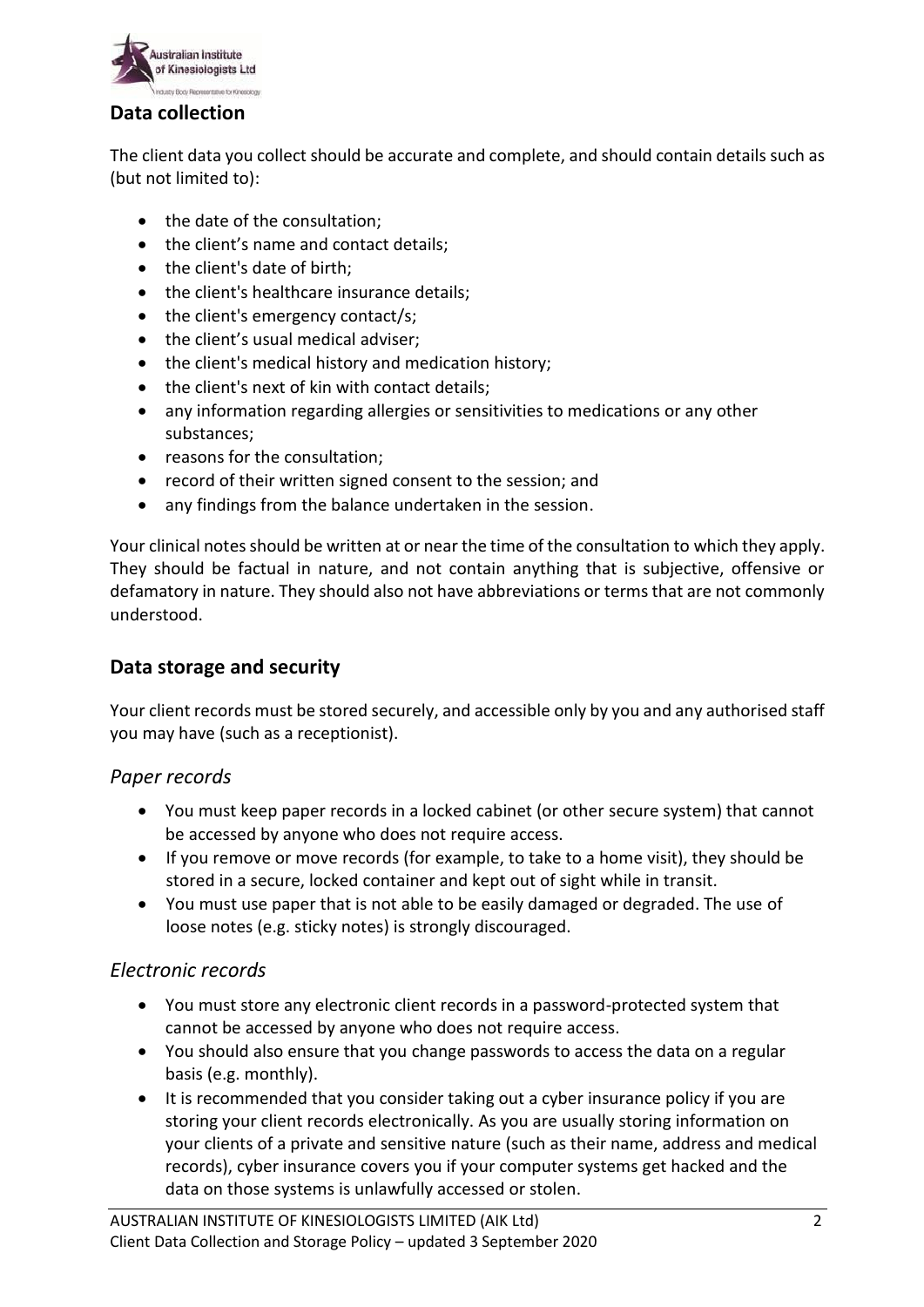

## **Data collection**

The client data you collect should be accurate and complete, and should contain details such as (but not limited to):

- the date of the consultation;
- the client's name and contact details;
- the client's date of birth;
- the client's healthcare insurance details;
- $\bullet$  the client's emergency contact/s;
- the client's usual medical adviser;
- the client's medical history and medication history;
- the client's next of kin with contact details;
- any information regarding allergies or sensitivities to medications or any other substances;
- reasons for the consultation:
- record of their written signed consent to the session; and
- any findings from the balance undertaken in the session.

Your clinical notes should be written at or near the time of the consultation to which they apply. They should be factual in nature, and not contain anything that is subjective, offensive or defamatory in nature. They should also not have abbreviations or terms that are not commonly understood.

# **Data storage and security**

Your client records must be stored securely, and accessible only by you and any authorised staff you may have (such as a receptionist).

#### *Paper records*

- You must keep paper records in a locked cabinet (or other secure system) that cannot be accessed by anyone who does not require access.
- If you remove or move records (for example, to take to a home visit), they should be stored in a secure, locked container and kept out of sight while in transit.
- You must use paper that is not able to be easily damaged or degraded. The use of loose notes (e.g. sticky notes) is strongly discouraged.

#### *Electronic records*

- You must store any electronic client records in a password-protected system that cannot be accessed by anyone who does not require access.
- You should also ensure that you change passwords to access the data on a regular basis (e.g. monthly).
- It is recommended that you consider taking out a cyber insurance policy if you are storing your client records electronically. As you are usually storing information on your clients of a private and sensitive nature (such as their name, address and medical records), cyber insurance covers you if your computer systems get hacked and the data on those systems is unlawfully accessed or stolen.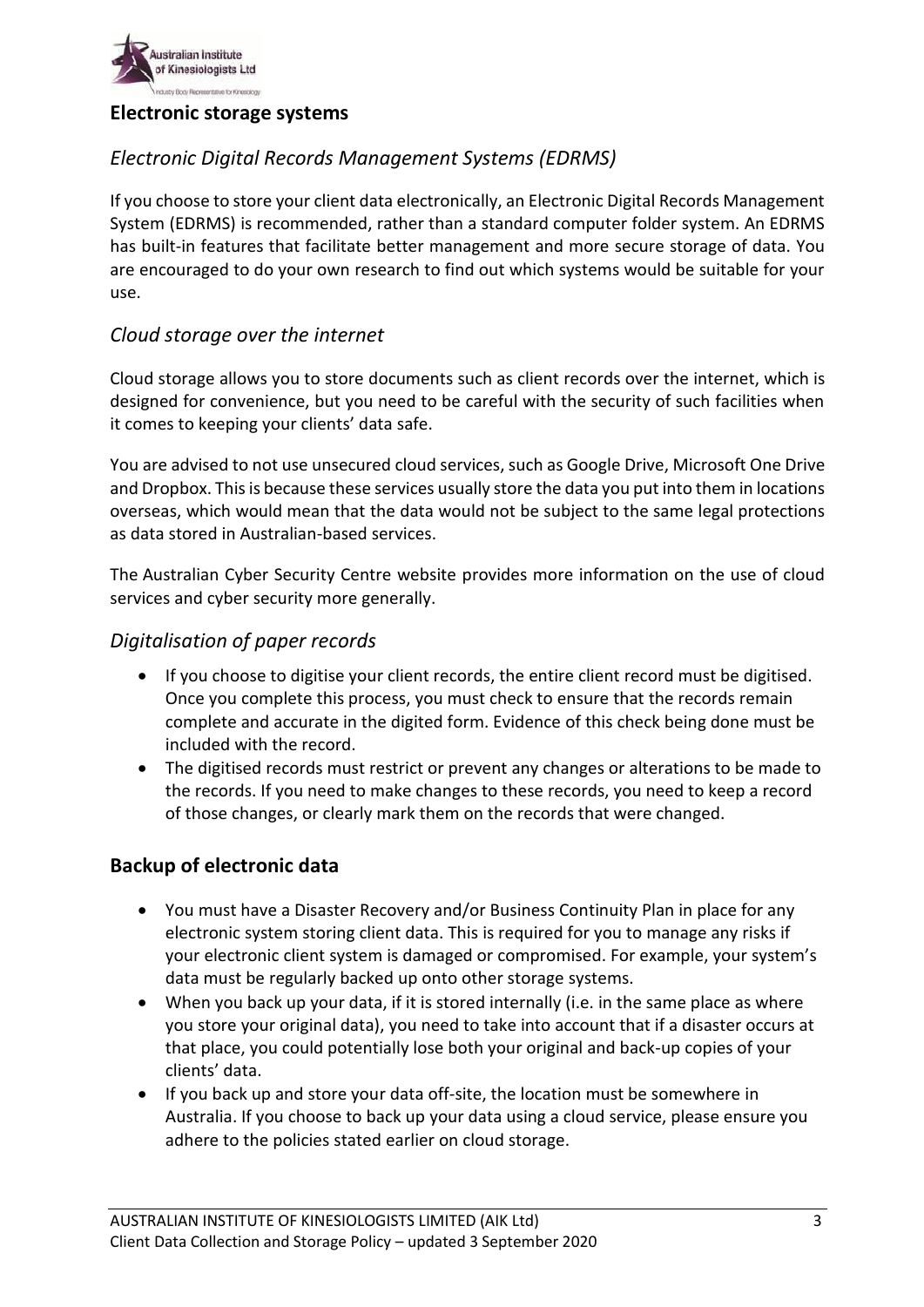

#### **Electronic storage systems**

# *Electronic Digital Records Management Systems (EDRMS)*

If you choose to store your client data electronically, an Electronic Digital Records Management System (EDRMS) is recommended, rather than a standard computer folder system. An EDRMS has built-in features that facilitate better management and more secure storage of data. You are encouraged to do your own research to find out which systems would be suitable for your use.

### *Cloud storage over the internet*

Cloud storage allows you to store documents such as client records over the internet, which is designed for convenience, but you need to be careful with the security of such facilities when it comes to keeping your clients' data safe.

You are advised to not use unsecured cloud services, such as Google Drive, Microsoft One Drive and Dropbox. This is because these services usually store the data you put into them in locations overseas, which would mean that the data would not be subject to the same legal protections as data stored in Australian-based services.

The [Australian Cyber Security Centre website](https://www.cyber.gov.au/irap/asd-certified-cloud-services) provides more information on the use of cloud services and cyber security more generally.

#### *Digitalisation of paper records*

- If you choose to digitise your client records, the entire client record must be digitised. Once you complete this process, you must check to ensure that the records remain complete and accurate in the digited form. Evidence of this check being done must be included with the record.
- The digitised records must restrict or prevent any changes or alterations to be made to the records. If you need to make changes to these records, you need to keep a record of those changes, or clearly mark them on the records that were changed.

#### **Backup of electronic data**

- You must have a Disaster Recovery and/or Business Continuity Plan in place for any electronic system storing client data. This is required for you to manage any risks if your electronic client system is damaged or compromised. For example, your system's data must be regularly backed up onto other storage systems.
- When you back up your data, if it is stored internally (i.e. in the same place as where you store your original data), you need to take into account that if a disaster occurs at that place, you could potentially lose both your original and back-up copies of your clients' data.
- If you back up and store your data off-site, the location must be somewhere in Australia. If you choose to back up your data using a cloud service, please ensure you adhere to the policies stated earlier on cloud storage.